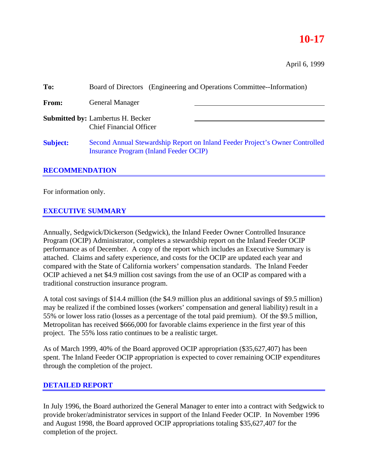# **10-17**

April 6, 1999

| To:             | Board of Directors (Engineering and Operations Committee--Information)                                                        |  |  |
|-----------------|-------------------------------------------------------------------------------------------------------------------------------|--|--|
| From:           | <b>General Manager</b>                                                                                                        |  |  |
|                 | <b>Submitted by: Lambertus H. Becker</b><br><b>Chief Financial Officer</b>                                                    |  |  |
| <b>Subject:</b> | Second Annual Stewardship Report on Inland Feeder Project's Owner Controlled<br><b>Insurance Program (Inland Feeder OCIP)</b> |  |  |

## **RECOMMENDATION**

For information only.

## **EXECUTIVE SUMMARY**

Annually, Sedgwick/Dickerson (Sedgwick), the Inland Feeder Owner Controlled Insurance Program (OCIP) Administrator, completes a stewardship report on the Inland Feeder OCIP performance as of December. A copy of the report which includes an Executive Summary is attached. Claims and safety experience, and costs for the OCIP are updated each year and compared with the State of California workers' compensation standards. The Inland Feeder OCIP achieved a net \$4.9 million cost savings from the use of an OCIP as compared with a traditional construction insurance program.

A total cost savings of \$14.4 million (the \$4.9 million plus an additional savings of \$9.5 million) may be realized if the combined losses (workers' compensation and general liability) result in a 55% or lower loss ratio (losses as a percentage of the total paid premium). Of the \$9.5 million, Metropolitan has received \$666,000 for favorable claims experience in the first year of this project. The 55% loss ratio continues to be a realistic target.

As of March 1999, 40% of the Board approved OCIP appropriation (\$35,627,407) has been spent. The Inland Feeder OCIP appropriation is expected to cover remaining OCIP expenditures through the completion of the project.

#### **DETAILED REPORT**

In July 1996, the Board authorized the General Manager to enter into a contract with Sedgwick to provide broker/administrator services in support of the Inland Feeder OCIP. In November 1996 and August 1998, the Board approved OCIP appropriations totaling \$35,627,407 for the completion of the project.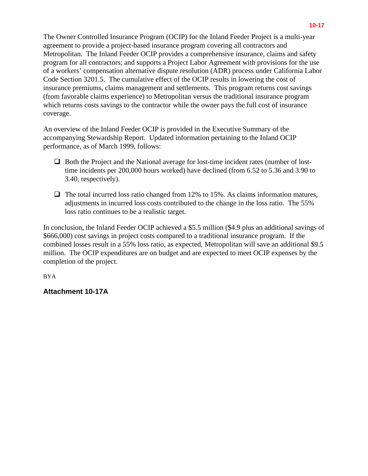The Owner Controlled Insurance Program (OCIP) for the Inland Feeder Project is a multi-year agreement to provide a project-based insurance program covering all contractors and Metropolitan. The Inland Feeder OCIP provides a comprehensive insurance, claims and safety program for all contractors; and supports a Project Labor Agreement with provisions for the use of a workers' compensation alternative dispute resolution (ADR) process under California Labor Code Section 3201.5. The cumulative effect of the OCIP results in lowering the cost of insurance premiums, claims management and settlements. This program returns cost savings (from favorable claims experience) to Metropolitan versus the traditional insurance program which returns costs savings to the contractor while the owner pays the full cost of insurance coverage.

An overview of the Inland Feeder OCIP is provided in the Executive Summary of the accompanying Stewardship Report. Updated information pertaining to the Inland OCIP performance, as of March 1999, follows:

- $\Box$  Both the Project and the National average for lost-time incident rates (number of losttime incidents per 200,000 hours worked) have declined (from 6.52 to 5.36 and 3.90 to 3.40, respectively).
- $\Box$  The total incurred loss ratio changed from 12% to 15%. As claims information matures, adjustments in incurred loss costs contributed to the change in the loss ratio. The 55% loss ratio continues to be a realistic target.

In conclusion, the Inland Feeder OCIP achieved a \$5.5 million (\$4.9 plus an additional savings of \$666,000) cost savings in project costs compared to a traditional insurance program. If the combined losses result in a 55% loss ratio, as expected, Metropolitan will save an additional \$9.5 million. The OCIP expenditures are on budget and are expected to meet OCIP expenses by the completion of the project.

BYA

## **Attachment 10-17A**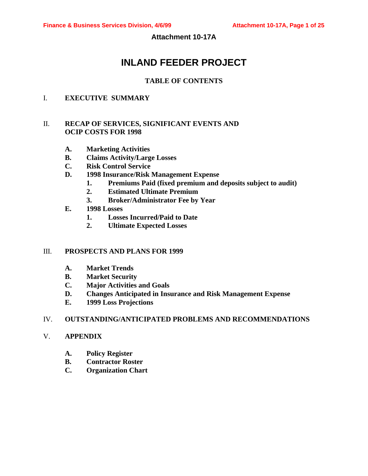**Attachment 10-17A**

# **INLAND FEEDER PROJECT**

## **TABLE OF CONTENTS**

## I. **EXECUTIVE SUMMARY**

## II. **RECAP OF SERVICES, SIGNIFICANT EVENTS AND OCIP COSTS FOR 1998**

- **A. Marketing Activities**
- **B. Claims Activity/Large Losses**
- **C. Risk Control Service**
- **D. 1998 Insurance/Risk Management Expense**
	- **1. Premiums Paid (fixed premium and deposits subject to audit)**
	- **2. Estimated Ultimate Premium**
	- **3. Broker/Administrator Fee by Year**
- **E. 1998 Losses**
	- **1. Losses Incurred/Paid to Date**
	- **2. Ultimate Expected Losses**

#### III. **PROSPECTS AND PLANS FOR 1999**

- **A. Market Trends**
- **B. Market Security**
- **C. Major Activities and Goals**
- **D. Changes Anticipated in Insurance and Risk Management Expense**
- **E. 1999 Loss Projections**

#### IV. **OUTSTANDING/ANTICIPATED PROBLEMS AND RECOMMENDATIONS**

#### V. **APPENDIX**

- **A. Policy Register**
- **B. Contractor Roster**
- **C. Organization Chart**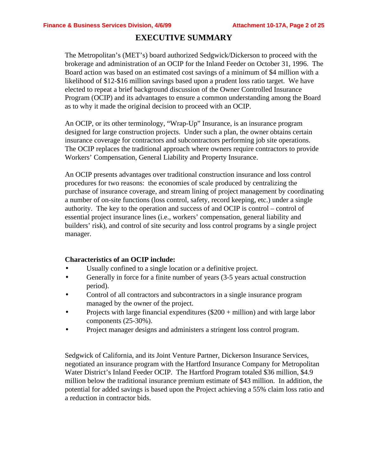## **EXECUTIVE SUMMARY**

The Metropolitan's (MET's) board authorized Sedgwick/Dickerson to proceed with the brokerage and administration of an OCIP for the Inland Feeder on October 31, 1996. The Board action was based on an estimated cost savings of a minimum of \$4 million with a likelihood of \$12-\$16 million savings based upon a prudent loss ratio target. We have elected to repeat a brief background discussion of the Owner Controlled Insurance Program (OCIP) and its advantages to ensure a common understanding among the Board as to why it made the original decision to proceed with an OCIP.

An OCIP, or its other terminology, "Wrap-Up" Insurance, is an insurance program designed for large construction projects. Under such a plan, the owner obtains certain insurance coverage for contractors and subcontractors performing job site operations. The OCIP replaces the traditional approach where owners require contractors to provide Workers' Compensation, General Liability and Property Insurance.

An OCIP presents advantages over traditional construction insurance and loss control procedures for two reasons: the economies of scale produced by centralizing the purchase of insurance coverage, and stream lining of project management by coordinating a number of on-site functions (loss control, safety, record keeping, etc.) under a single authority. The key to the operation and success of and OCIP is control – control of essential project insurance lines (i.e., workers' compensation, general liability and builders' risk), and control of site security and loss control programs by a single project manager.

#### **Characteristics of an OCIP include:**

- Usually confined to a single location or a definitive project.
- Generally in force for a finite number of years (3-5 years actual construction period).
- Control of all contractors and subcontractors in a single insurance program managed by the owner of the project.
- Projects with large financial expenditures  $(\$200 + million)$  and with large labor components (25-30%).
- Project manager designs and administers a stringent loss control program.

Sedgwick of California, and its Joint Venture Partner, Dickerson Insurance Services, negotiated an insurance program with the Hartford Insurance Company for Metropolitan Water District's Inland Feeder OCIP. The Hartford Program totaled \$36 million, \$4.9 million below the traditional insurance premium estimate of \$43 million. In addition, the potential for added savings is based upon the Project achieving a 55% claim loss ratio and a reduction in contractor bids.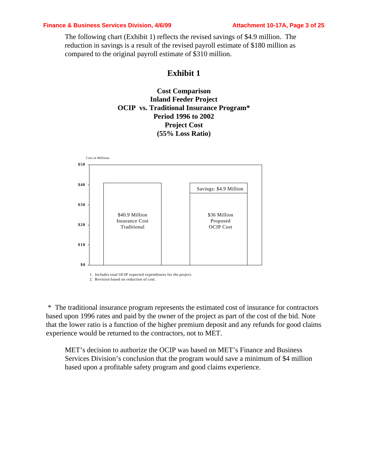#### **Finance & Business Services Division, 4/6/99 Attachment 10-17A, Page 3 of 25**

The following chart (Exhibit 1) reflects the revised savings of \$4.9 million. The reduction in savings is a result of the revised payroll estimate of \$180 million as compared to the original payroll estimate of \$310 million.

## **Exhibit 1**

**Cost Comparison Inland Feeder Project OCIP vs. Traditional Insurance Program\* Period 1996 to 2002 Project Cost (55% Loss Ratio)**



1. Includes total OCIP expected expenditures for the project. 2. Revision based on reduction of cost.

 \* The traditional insurance program represents the estimated cost of insurance for contractors based upon 1996 rates and paid by the owner of the project as part of the cost of the bid. Note that the lower ratio is a function of the higher premium deposit and any refunds for good claims experience would be returned to the contractors, not to MET.

MET's decision to authorize the OCIP was based on MET's Finance and Business Services Division's conclusion that the program would save a minimum of \$4 million based upon a profitable safety program and good claims experience.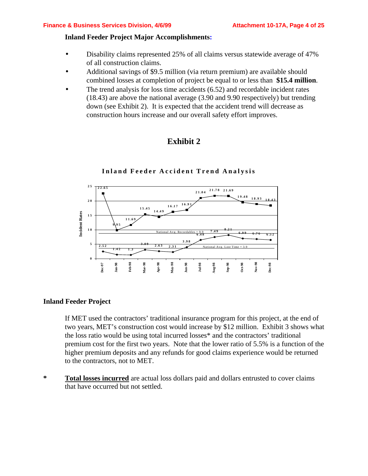#### **Inland Feeder Project Major Accomplishments:**

- Disability claims represented 25% of all claims versus statewide average of 47% of all construction claims.
- Additional savings of \$9.5 million (via return premium) are available should combined losses at completion of project be equal to or less than **\$15.4 million**.
- The trend analysis for loss time accidents  $(6.52)$  and recordable incident rates (18.43) are above the national average (3.90 and 9.90 respectively) but trending down (see Exhibit 2). It is expected that the accident trend will decrease as construction hours increase and our overall safety effort improves.





## **Inland Feeder Accident Trend Analysis**

## **Inland Feeder Project**

If MET used the contractors' traditional insurance program for this project, at the end of two years, MET's construction cost would increase by \$12 million. Exhibit 3 shows what the loss ratio would be using total incurred losses\* and the contractors' traditional premium cost for the first two years. Note that the lower ratio of 5.5% is a function of the higher premium deposits and any refunds for good claims experience would be returned to the contractors, not to MET.

**\* Total losses incurred** are actual loss dollars paid and dollars entrusted to cover claims that have occurred but not settled.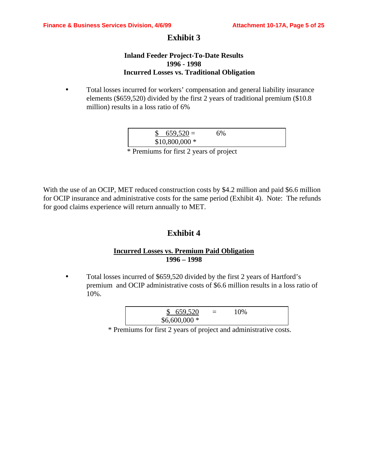## **Exhibit 3**

#### **Inland Feeder Project-To-Date Results 1996 - 1998 Incurred Losses vs. Traditional Obligation**

• Total losses incurred for workers' compensation and general liability insurance elements (\$659,520) divided by the first 2 years of traditional premium (\$10.8 million) results in a loss ratio of 6%

| $659,520 =$    | <b>6%</b> |  |
|----------------|-----------|--|
| $$10,800,000*$ |           |  |

\* Premiums for first 2 years of project

With the use of an OCIP, MET reduced construction costs by \$4.2 million and paid \$6.6 million for OCIP insurance and administrative costs for the same period (Exhibit 4). Note: The refunds for good claims experience will return annually to MET.

## **Exhibit 4**

## **Incurred Losses vs. Premium Paid Obligation 1996 – 1998**

• Total losses incurred of \$659,520 divided by the first 2 years of Hartford's premium and OCIP administrative costs of \$6.6 million results in a loss ratio of 10%.

| 659,520       | $=$ | 10% |  |
|---------------|-----|-----|--|
| $$6,600,000*$ |     |     |  |

\* Premiums for first 2 years of project and administrative costs.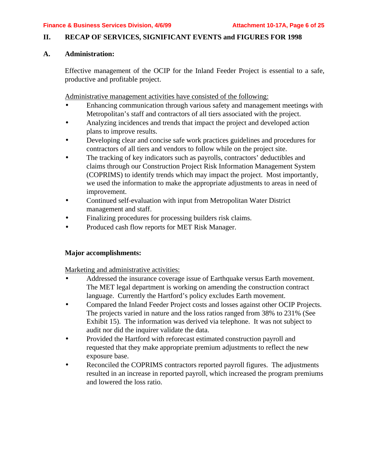#### **II. RECAP OF SERVICES, SIGNIFICANT EVENTS and FIGURES FOR 1998**

## **A. Administration:**

Effective management of the OCIP for the Inland Feeder Project is essential to a safe, productive and profitable project.

Administrative management activities have consisted of the following:

- Enhancing communication through various safety and management meetings with Metropolitan's staff and contractors of all tiers associated with the project.
- Analyzing incidences and trends that impact the project and developed action plans to improve results.
- Developing clear and concise safe work practices guidelines and procedures for contractors of all tiers and vendors to follow while on the project site.
- The tracking of key indicators such as payrolls, contractors' deductibles and claims through our Construction Project Risk Information Management System (COPRIMS) to identify trends which may impact the project. Most importantly, we used the information to make the appropriate adjustments to areas in need of improvement.
- Continued self-evaluation with input from Metropolitan Water District management and staff.
- Finalizing procedures for processing builders risk claims.
- Produced cash flow reports for MET Risk Manager.

## **Major accomplishments:**

Marketing and administrative activities:

- Addressed the insurance coverage issue of Earthquake versus Earth movement. The MET legal department is working on amending the construction contract language. Currently the Hartford's policy excludes Earth movement.
- Compared the Inland Feeder Project costs and losses against other OCIP Projects. The projects varied in nature and the loss ratios ranged from 38% to 231% (See Exhibit 15). The information was derived via telephone. It was not subject to audit nor did the inquirer validate the data.
- Provided the Hartford with reforecast estimated construction payroll and requested that they make appropriate premium adjustments to reflect the new exposure base.
- Reconciled the COPRIMS contractors reported payroll figures. The adjustments resulted in an increase in reported payroll, which increased the program premiums and lowered the loss ratio.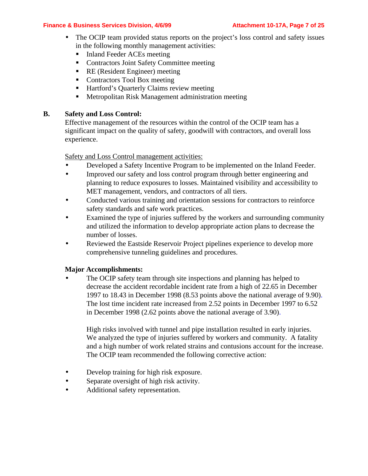#### **Finance & Business Services Division, 4/6/99 Attachment 10-17A, Page 7 of 25**

- The OCIP team provided status reports on the project's loss control and safety issues in the following monthly management activities:
	- Inland Feeder ACEs meeting
	- **Contractors Joint Safety Committee meeting**
	- RE (Resident Engineer) meeting
	- Contractors Tool Box meeting
	- Hartford's Quarterly Claims review meeting
	- $\blacksquare$  Metropolitan Risk Management administration meeting

## **B. Safety and Loss Control:**

Effective management of the resources within the control of the OCIP team has a significant impact on the quality of safety, goodwill with contractors, and overall loss experience.

## Safety and Loss Control management activities:

- Developed a Safety Incentive Program to be implemented on the Inland Feeder.
- Improved our safety and loss control program through better engineering and planning to reduce exposures to losses. Maintained visibility and accessibility to MET management, vendors, and contractors of all tiers.
- Conducted various training and orientation sessions for contractors to reinforce safety standards and safe work practices.
- Examined the type of injuries suffered by the workers and surrounding community and utilized the information to develop appropriate action plans to decrease the number of losses.
- Reviewed the Eastside Reservoir Project pipelines experience to develop more comprehensive tunneling guidelines and procedures.

## **Major Accomplishments:**

The OCIP safety team through site inspections and planning has helped to decrease the accident recordable incident rate from a high of 22.65 in December 1997 to 18.43 in December 1998 (8.53 points above the national average of 9.90). The lost time incident rate increased from 2.52 points in December 1997 to 6.52 in December 1998 (2.62 points above the national average of 3.90).

High risks involved with tunnel and pipe installation resulted in early injuries. We analyzed the type of injuries suffered by workers and community. A fatality and a high number of work related strains and contusions account for the increase. The OCIP team recommended the following corrective action:

- Develop training for high risk exposure.
- Separate oversight of high risk activity.
- Additional safety representation.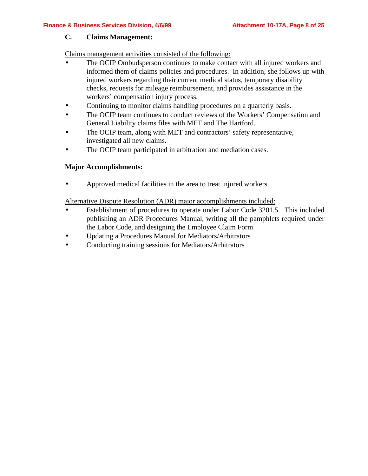#### **C. Claims Management:**

Claims management activities consisted of the following:

- The OCIP Ombudsperson continues to make contact with all injured workers and informed them of claims policies and procedures. In addition, she follows up with injured workers regarding their current medical status, temporary disability checks, requests for mileage reimbursement, and provides assistance in the workers' compensation injury process.
- Continuing to monitor claims handling procedures on a quarterly basis.
- The OCIP team continues to conduct reviews of the Workers' Compensation and General Liability claims files with MET and The Hartford.
- The OCIP team, along with MET and contractors' safety representative, investigated all new claims.
- The OCIP team participated in arbitration and mediation cases.

## **Major Accomplishments:**

• Approved medical facilities in the area to treat injured workers.

Alternative Dispute Resolution (ADR) major accomplishments included:

- Establishment of procedures to operate under Labor Code 3201.5. This included publishing an ADR Procedures Manual, writing all the pamphlets required under the Labor Code, and designing the Employee Claim Form
- Updating a Procedures Manual for Mediators/Arbitrators
- Conducting training sessions for Mediators/Arbitrators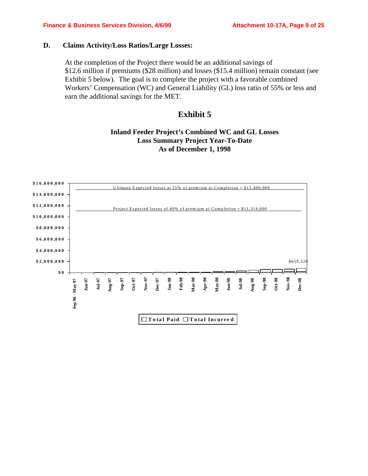#### **D. Claims Activity/Loss Ratios/Large Losses:**

At the completion of the Project there would be an additional savings of \$12.6 million if premiums (\$28 million) and losses (\$15.4 million) remain constant (see Exhibit 5 below). The goal is to complete the project with a favorable combined Workers' Compensation (WC) and General Liability (GL) loss ratio of 55% or less and earn the additional savings for the MET.

## **Exhibit 5**

## **Inland Feeder Project's Combined WC and GL Losses Loss Summary Project Year-To-Date As of December 1, 1998**

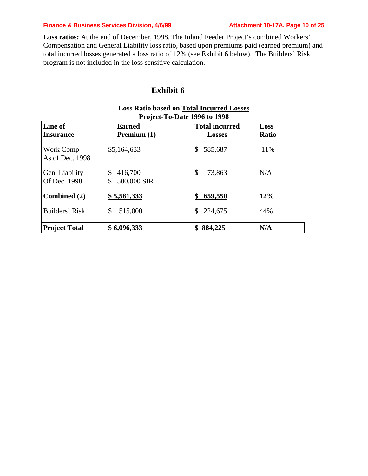#### **Finance & Business Services Division, 4/6/99 Attachment 10-17A, Page 10 of 25**

**Loss ratios:** At the end of December, 1998, The Inland Feeder Project's combined Workers' Compensation and General Liability loss ratio, based upon premiums paid (earned premium) and total incurred losses generated a loss ratio of 12% (see Exhibit 6 below). The Builders' Risk program is not included in the loss sensitive calculation.

## **Exhibit 6**

| <b>Loss Ratio based on Total Incurred Losses</b><br>Project-To-Date 1996 to 1998 |                                    |                                        |               |  |
|----------------------------------------------------------------------------------|------------------------------------|----------------------------------------|---------------|--|
| Line of<br><b>Insurance</b>                                                      | <b>Earned</b><br>Premium $(1)$     | <b>Total incurred</b><br><b>Losses</b> | Loss<br>Ratio |  |
| Work Comp<br>As of Dec. 1998                                                     | \$5,164,633                        | 585,687<br>\$                          | 11%           |  |
| Gen. Liability<br>Of Dec. 1998                                                   | 416,700<br>\$<br>500,000 SIR<br>\$ | \$<br>73,863                           | N/A           |  |
| Combined (2)                                                                     | \$5,581,333                        | 659,550                                | 12%           |  |
| Builders' Risk                                                                   | 515,000<br>\$                      | 224,675<br>\$                          | 44%           |  |
| <b>Project Total</b>                                                             | \$6,096,333                        | 884,225                                | N/A           |  |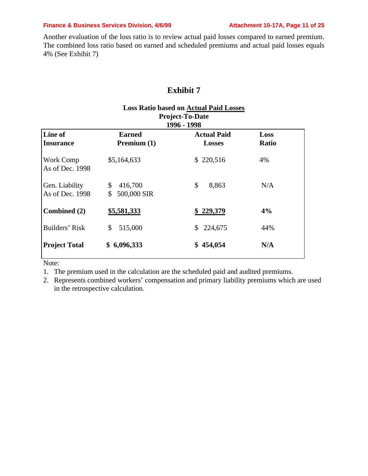#### **Finance & Business Services Division, 4/6/99 Attachment 10-17A, Page 11 of 25**

Another evaluation of the loss ratio is to review actual paid losses compared to earned premium. The combined loss ratio based on earned and scheduled premiums and actual paid losses equals 4% (See Exhibit 7)

## **Exhibit 7**

| <b>Loss Ratio based on Actual Paid Losses</b><br><b>Project-To-Date</b><br>1996 - 1998 |                                    |                                     |                      |  |  |
|----------------------------------------------------------------------------------------|------------------------------------|-------------------------------------|----------------------|--|--|
| Line of<br><b>Insurance</b>                                                            | <b>Earned</b><br>Premium $(1)$     | <b>Actual Paid</b><br><b>Losses</b> | Loss<br><b>Ratio</b> |  |  |
| Work Comp<br>As of Dec. 1998                                                           | \$5,164,633                        | \$220,516                           | 4%                   |  |  |
| Gen. Liability<br>As of Dec. 1998                                                      | \$<br>416,700<br>500,000 SIR<br>\$ | \$<br>8,863                         | N/A                  |  |  |
| Combined (2)                                                                           | \$5,581,333                        | \$229,379                           | 4%                   |  |  |
| Builders' Risk                                                                         | 515,000<br>\$                      | 224,675<br>S.                       | 44%                  |  |  |
| <b>Project Total</b>                                                                   | 6,096,333<br>SS.                   | 454,054<br>\$                       | N/A                  |  |  |

Note:

1. The premium used in the calculation are the scheduled paid and audited premiums.

2. Represents combined workers' compensation and primary liability premiums which are used in the retrospective calculation.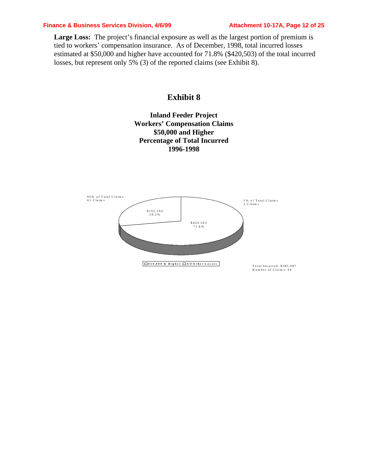#### **Finance & Business Services Division, 4/6/99 Attachment 10-17A, Page 12 of 25**

Large Loss: The project's financial exposure as well as the largest portion of premium is tied to workers' compensation insurance. As of December, 1998, total incurred losses estimated at \$50,000 and higher have accounted for 71.8% (\$420,503) of the total incurred losses, but represent only 5% (3) of the reported claims (see Exhibit 8).

## **Exhibit 8**

## **Inland Feeder Project Workers' Compensation Claims \$50,000 and Higher Percentage of Total Incurred 1996-1998**

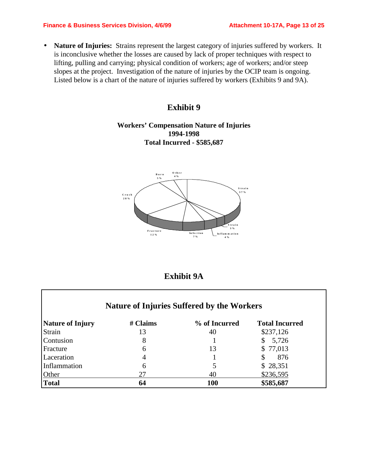• **Nature of Injuries:** Strains represent the largest category of injuries suffered by workers. It is inconclusive whether the losses are caused by lack of proper techniques with respect to lifting, pulling and carrying; physical condition of workers; age of workers; and/or steep slopes at the project. Investigation of the nature of injuries by the OCIP team is ongoing. Listed below is a chart of the nature of injuries suffered by workers (Exhibits 9 and 9A).

## **Exhibit 9**

## **Workers' Compensation Nature of Injuries 1994-1998 Total Incurred - \$585,687**



## **Exhibit 9A**

|                         |          | <b>Nature of Injuries Suffered by the Workers</b> |                       |
|-------------------------|----------|---------------------------------------------------|-----------------------|
| <b>Nature of Injury</b> | # Claims | % of Incurred                                     | <b>Total Incurred</b> |
| Strain                  | 13       | 40                                                | \$237,126             |
| Contusion               | 8        |                                                   | 5,726<br>\$           |
| Fracture                | 6        | 13                                                | \$77,013              |
| Laceration              | 4        |                                                   | \$<br>876             |
| Inflammation            | 6        | 5                                                 | \$28,351              |
| Other                   | 27       | 40                                                | \$236,595             |
| <b>Total</b>            | 64       | <b>100</b>                                        | \$585,687             |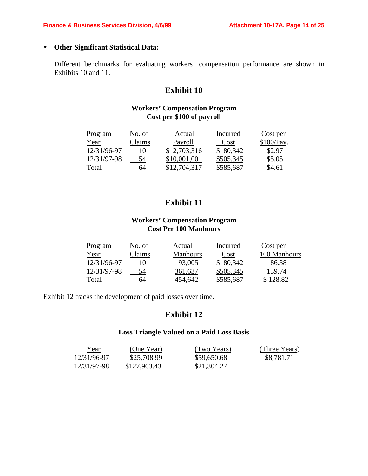## • **Other Significant Statistical Data:**

Different benchmarks for evaluating workers' compensation performance are shown in Exhibits 10 and 11.

## **Exhibit 10**

## **Workers' Compensation Program Cost per \$100 of payroll**

| Program     | No. of | Actual       | Incurred  | Cost per   |
|-------------|--------|--------------|-----------|------------|
| Year        | Claims | Payroll      | Cost      | \$100/Pay. |
| 12/31/96-97 | 10     | \$2,703,316  | \$ 80,342 | \$2.97     |
| 12/31/97-98 | 54     | \$10,001,001 | \$505,345 | \$5.05     |
| Total       | 64     | \$12,704,317 | \$585,687 | \$4.61     |

## **Exhibit 11**

## **Workers' Compensation Program Cost Per 100 Manhours**

| Program     | No. of | Actual          | Incurred  | Cost per     |
|-------------|--------|-----------------|-----------|--------------|
| Year        | Claims | <b>Manhours</b> | Cost      | 100 Manhours |
| 12/31/96-97 | 10     | 93,005          | \$80,342  | 86.38        |
| 12/31/97-98 | 54     | 361,637         | \$505,345 | 139.74       |
| Total       | 64     | 454,642         | \$585,687 | \$128.82     |

Exhibit 12 tracks the development of paid losses over time.

## **Exhibit 12**

#### **Loss Triangle Valued on a Paid Loss Basis**

| <u>Year</u> | (One Year)   | (Two Years) | (Three Years) |
|-------------|--------------|-------------|---------------|
| 12/31/96-97 | \$25,708.99  | \$59,650.68 | \$8,781.71    |
| 12/31/97-98 | \$127,963.43 | \$21,304.27 |               |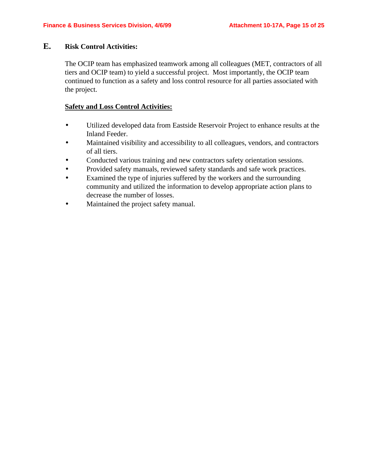#### **E. Risk Control Activities:**

The OCIP team has emphasized teamwork among all colleagues (MET, contractors of all tiers and OCIP team) to yield a successful project. Most importantly, the OCIP team continued to function as a safety and loss control resource for all parties associated with the project.

#### **Safety and Loss Control Activities:**

- Utilized developed data from Eastside Reservoir Project to enhance results at the Inland Feeder.
- Maintained visibility and accessibility to all colleagues, vendors, and contractors of all tiers.
- Conducted various training and new contractors safety orientation sessions.
- Provided safety manuals, reviewed safety standards and safe work practices.
- Examined the type of injuries suffered by the workers and the surrounding community and utilized the information to develop appropriate action plans to decrease the number of losses.
- Maintained the project safety manual.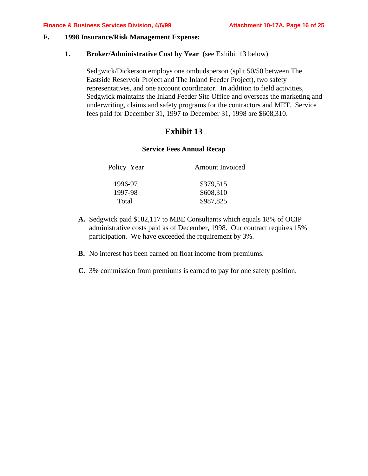#### **F. 1998 Insurance/Risk Management Expense:**

#### **1. Broker/Administrative Cost by Year** (see Exhibit 13 below)

Sedgwick/Dickerson employs one ombudsperson (split 50/50 between The Eastside Reservoir Project and The Inland Feeder Project), two safety representatives, and one account coordinator. In addition to field activities, Sedgwick maintains the Inland Feeder Site Office and overseas the marketing and underwriting, claims and safety programs for the contractors and MET. Service fees paid for December 31, 1997 to December 31, 1998 are \$608,310.

## **Exhibit 13**

#### **Service Fees Annual Recap**

| Policy Year | <b>Amount Invoiced</b> |  |
|-------------|------------------------|--|
| 1996-97     | \$379,515              |  |
| 1997-98     | \$608,310              |  |
| Total       | \$987,825              |  |
|             |                        |  |

- **A.** Sedgwick paid \$182,117 to MBE Consultants which equals 18% of OCIP administrative costs paid as of December, 1998. Our contract requires 15% participation. We have exceeded the requirement by 3%.
- **B.** No interest has been earned on float income from premiums.
- **C.** 3% commission from premiums is earned to pay for one safety position.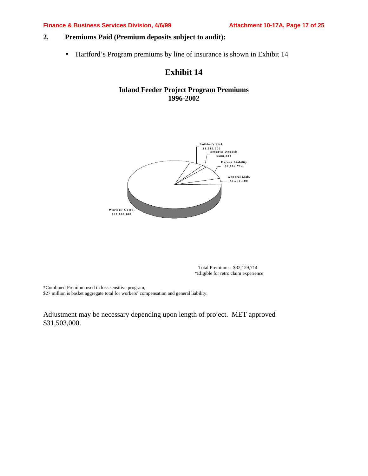#### **Finance & Business Services Division, 4/6/99 Attachment 10-17A, Page 17 of 25**

## **2. Premiums Paid (Premium deposits subject to audit):**

• Hartford's Program premiums by line of insurance is shown in Exhibit 14

## **Exhibit 14**

## **Inland Feeder Project Program Premiums 1996-2002**



 Total Premiums: \$32,129,714 \*Eligible for retro claim experience

\*Combined Premium used in loss sensitive program,

\$27 million is basket aggregate total for workers' compensation and general liability.

Adjustment may be necessary depending upon length of project. MET approved \$31,503,000.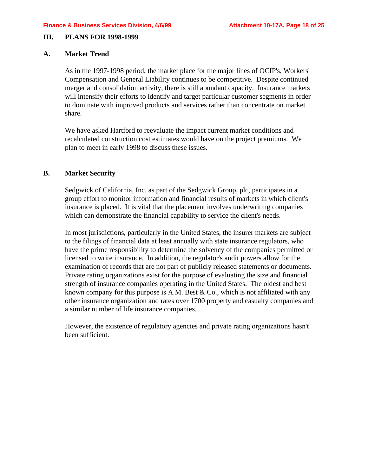#### **III. PLANS FOR 1998-1999**

## **A. Market Trend**

As in the 1997-1998 period, the market place for the major lines of OCIP's, Workers' Compensation and General Liability continues to be competitive. Despite continued merger and consolidation activity, there is still abundant capacity. Insurance markets will intensify their efforts to identify and target particular customer segments in order to dominate with improved products and services rather than concentrate on market share.

We have asked Hartford to reevaluate the impact current market conditions and recalculated construction cost estimates would have on the project premiums. We plan to meet in early 1998 to discuss these issues.

## **B. Market Security**

Sedgwick of California, Inc. as part of the Sedgwick Group, plc, participates in a group effort to monitor information and financial results of markets in which client's insurance is placed. It is vital that the placement involves underwriting companies which can demonstrate the financial capability to service the client's needs.

In most jurisdictions, particularly in the United States, the insurer markets are subject to the filings of financial data at least annually with state insurance regulators, who have the prime responsibility to determine the solvency of the companies permitted or licensed to write insurance. In addition, the regulator's audit powers allow for the examination of records that are not part of publicly released statements or documents. Private rating organizations exist for the purpose of evaluating the size and financial strength of insurance companies operating in the United States. The oldest and best known company for this purpose is A.M. Best & Co., which is not affiliated with any other insurance organization and rates over 1700 property and casualty companies and a similar number of life insurance companies.

However, the existence of regulatory agencies and private rating organizations hasn't been sufficient.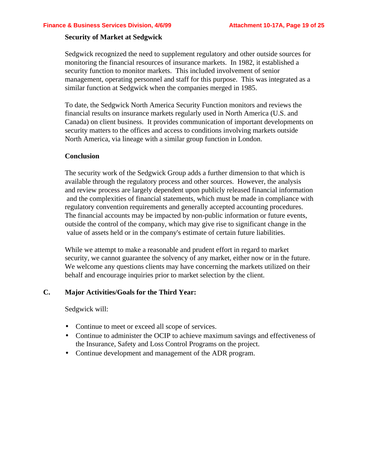#### **Security of Market at Sedgwick**

Sedgwick recognized the need to supplement regulatory and other outside sources for monitoring the financial resources of insurance markets. In 1982, it established a security function to monitor markets. This included involvement of senior management, operating personnel and staff for this purpose. This was integrated as a similar function at Sedgwick when the companies merged in 1985.

To date, the Sedgwick North America Security Function monitors and reviews the financial results on insurance markets regularly used in North America (U.S. and Canada) on client business. It provides communication of important developments on security matters to the offices and access to conditions involving markets outside North America, via lineage with a similar group function in London.

#### **Conclusion**

The security work of the Sedgwick Group adds a further dimension to that which is available through the regulatory process and other sources. However, the analysis and review process are largely dependent upon publicly released financial information and the complexities of financial statements, which must be made in compliance with regulatory convention requirements and generally accepted accounting procedures. The financial accounts may be impacted by non-public information or future events, outside the control of the company, which may give rise to significant change in the value of assets held or in the company's estimate of certain future liabilities.

While we attempt to make a reasonable and prudent effort in regard to market security, we cannot guarantee the solvency of any market, either now or in the future. We welcome any questions clients may have concerning the markets utilized on their behalf and encourage inquiries prior to market selection by the client.

## **C. Major Activities/Goals for the Third Year:**

Sedgwick will:

- Continue to meet or exceed all scope of services.
- Continue to administer the OCIP to achieve maximum savings and effectiveness of the Insurance, Safety and Loss Control Programs on the project.
- Continue development and management of the ADR program.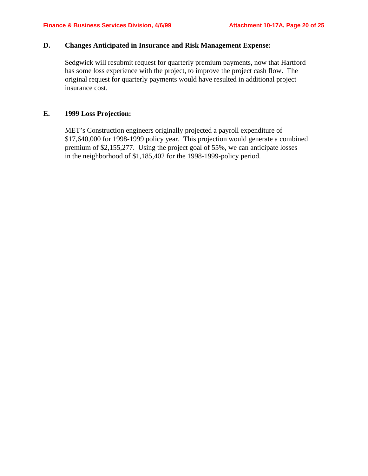#### **D. Changes Anticipated in Insurance and Risk Management Expense:**

Sedgwick will resubmit request for quarterly premium payments, now that Hartford has some loss experience with the project, to improve the project cash flow. The original request for quarterly payments would have resulted in additional project insurance cost.

#### **E. 1999 Loss Projection:**

MET's Construction engineers originally projected a payroll expenditure of \$17,640,000 for 1998-1999 policy year. This projection would generate a combined premium of \$2,155,277. Using the project goal of 55%, we can anticipate losses in the neighborhood of \$1,185,402 for the 1998-1999-policy period.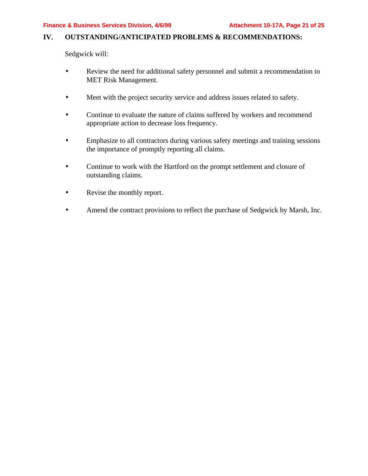## **IV. OUTSTANDING/ANTICIPATED PROBLEMS & RECOMMENDATIONS:**

Sedgwick will:

- Review the need for additional safety personnel and submit a recommendation to MET Risk Management.
- Meet with the project security service and address issues related to safety.
- Continue to evaluate the nature of claims suffered by workers and recommend appropriate action to decrease loss frequency.
- Emphasize to all contractors during various safety meetings and training sessions the importance of promptly reporting all claims.
- Continue to work with the Hartford on the prompt settlement and closure of outstanding claims.
- Revise the monthly report.
- Amend the contract provisions to reflect the purchase of Sedgwick by Marsh, Inc.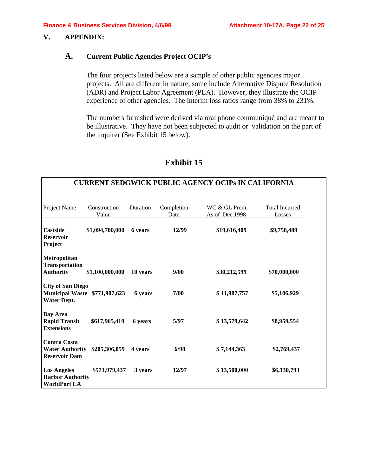## **V. APPENDIX:**

## **A. Current Public Agencies Project OCIP's**

The four projects listed below are a sample of other public agencies major projects. All are different in nature, some include Alternative Dispute Resolution (ADR) and Project Labor Agreement (PLA). However, they illustrate the OCIP experience of other agencies. The interim loss ratios range from 38% to 231%.

The numbers furnished were derived via oral phone communiqué and are meant to be illustrative. They have not been subjected to audit or validation on the part of the inquirer (See Exhibit 15 below).

| <b>CURRENT SEDGWICK PUBLIC AGENCY OCIPS IN CALIFORNIA</b>                       |                       |          |                    |                                 |                                 |
|---------------------------------------------------------------------------------|-----------------------|----------|--------------------|---------------------------------|---------------------------------|
| Project Name                                                                    | Construction<br>Value | Duration | Completion<br>Date | WC & GL Prem.<br>As of Dec.1998 | <b>Total Incurred</b><br>Losses |
| <b>Eastside</b><br><b>Reservoir</b><br>Project                                  | \$1,094,700,000       | 6 years  | 12/99              | \$19,616,409                    | \$9,758,489                     |
| Metropolitan<br><b>Transportation</b><br><b>Authority</b>                       | \$1,100,000,000       | 10 years | 9/00               | \$30,212,599                    | \$70,000,000                    |
| <b>City of San Diego</b><br>Municipal Waste \$771,907,623<br><b>Water Dept.</b> |                       | 6 years  | 7/00               | \$11,987,757                    | \$5,106,929                     |
| <b>Bay Area</b><br><b>Rapid Transit</b><br><b>Extensions</b>                    | \$617,965,419         | 6 years  | 5/97               | \$13,579,642                    | \$8,959,554                     |
| <b>Contra Costa</b><br><b>Water Authority</b><br><b>Reservoir Dam</b>           | \$205,306,059         | 4 years  | 6/98               | \$7,144,363                     | \$2,769,437                     |
| <b>Los Angeles</b><br><b>Harbor Authority</b><br><b>WorldPort LA</b>            | \$573,979,437         | 3 years  | 12/97              | \$13,500,000                    | \$6,130,793                     |

## **Exhibit 15**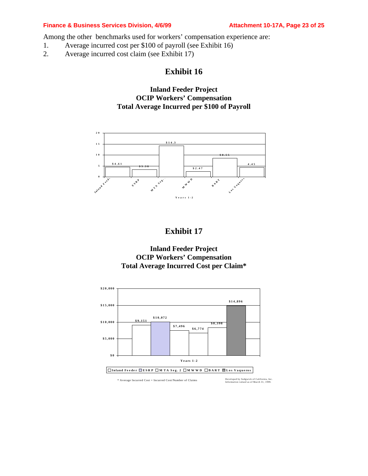#### **Finance & Business Services Division, 4/6/99 Attachment 10-17A, Page 23 of 25**

Among the other benchmarks used for workers' compensation experience are:

- 1. Average incurred cost per \$100 of payroll (see Exhibit 16)
- 2. Average incurred cost claim (see Exhibit 17)

## **Exhibit 16**

## **Inland Feeder Project OCIP Workers' Compensation Total Average Incurred per \$100 of Payroll**



## **Exhibit 17**

**Inland Feeder Project OCIP Workers' Compensation Total Average Incurred Cost per Claim\***



 $*$  Average Incurred Cost = Incurred Cost/Number of Claims

Developed by Sedgwick of California, Inc.<br>Information valued as of March 31, 1999.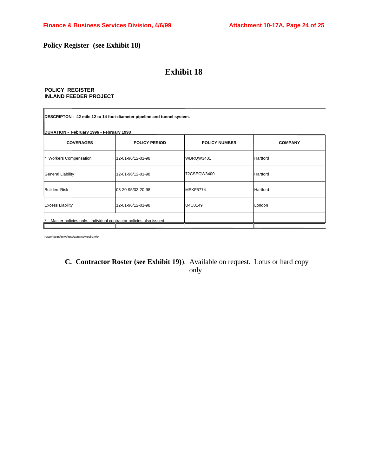## **Policy Register (see Exhibit 18)**

## **Exhibit 18**

#### **POLICY REGISTER INLAND FEEDER PROJECT**

| DESCRIPTON - 42 mile,12 to 14 foot-diameter pipeline and tunnel system. |                      |                      |                |  |  |
|-------------------------------------------------------------------------|----------------------|----------------------|----------------|--|--|
| DURATION - February 1996 - February 1998<br><b>COVERAGES</b>            | <b>POLICY PERIOD</b> | <b>POLICY NUMBER</b> | <b>COMPANY</b> |  |  |
| <b>Workers Compensation</b>                                             | l12-01-96/12-01-98   | WBRQW3401            | Hartford       |  |  |
| General Liability                                                       | l12-01-96/12-01-98   | 72CSEQW3400          | Hartford       |  |  |
| Builders'Risk                                                           | 03-20-95/03-20-98    | IMSKF5774            | Hartford       |  |  |
| <b>Excess Liability</b>                                                 | l12-01-96/12-01-98   | U4C0149              | London         |  |  |
| Master policies only. Individual contractor policies also issued.       |                      |                      |                |  |  |

h:\any\ocips\mwd\rpts\admin\dvrpolrg.wk4

## **C. Contractor Roster (see Exhibit 19)**). Available on request. Lotus or hard copy only